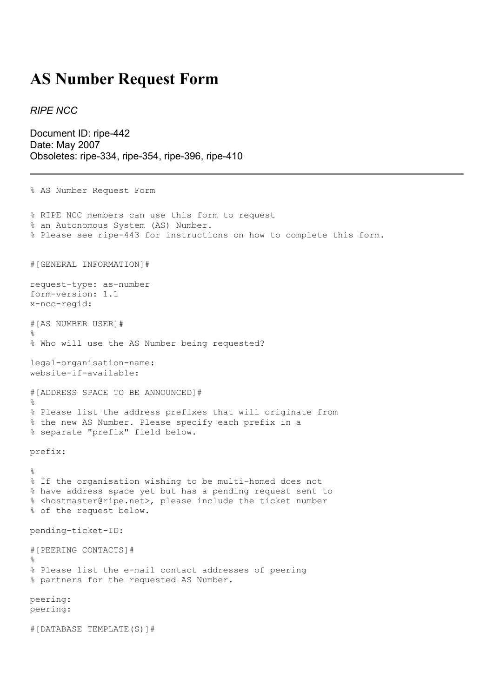## **AS Number Request Form**

*RIPE NCC*

Document ID: ripe-442 Date: May 2007 Obsoletes: ripe-334, ripe-354, ripe-396, ripe-410

```
% AS Number Request Form
% RIPE NCC members can use this form to request
% an Autonomous System (AS) Number.
% Please see ripe-443 for instructions on how to complete this form.
#[GENERAL INFORMATION]#
request-type: as-number
form-version: 1.1
x-ncc-regid:
#[AS NUMBER USER]#
\mathfrak{D}% Who will use the AS Number being requested?
legal-organisation-name:
website-if-available:
#[ADDRESS SPACE TO BE ANNOUNCED]#
\approx% Please list the address prefixes that will originate from
% the new AS Number. Please specify each prefix in a
% separate "prefix" field below.
prefix:
\frac{6}{6}% If the organisation wishing to be multi-homed does not
% have address space yet but has a pending request sent to
% <hostmaster@ripe.net>, please include the ticket number
% of the request below.
pending-ticket-ID:
#[PEERING CONTACTS]#
%
% Please list the e-mail contact addresses of peering
% partners for the requested AS Number.
peering:
peering:
#[DATABASE TEMPLATE(S)]#
```